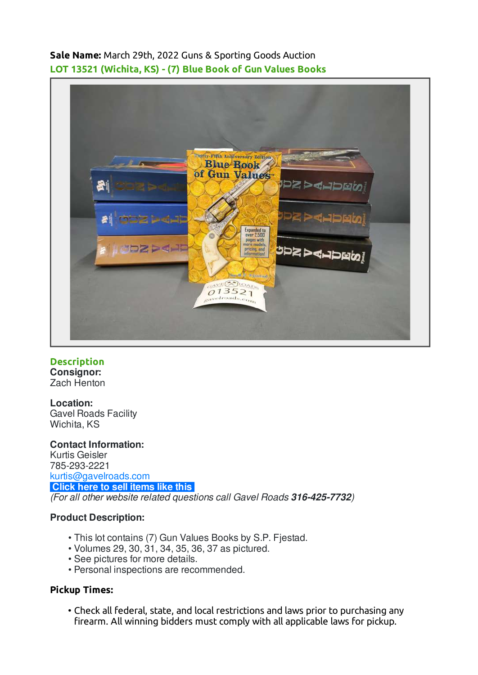**Sale Name:** March 29th, 2022 Guns & Sporting Goods Auction **LOT 13521 (Wichita, KS) - (7) Blue Book of Gun Values Books**



**Description Consignor:** Zach Henton

**Location:** Gavel Roads Facility Wichita, KS

**Contact Information:** Kurtis Geisler 785-293-2221 [kurtis@gavelroads.com](mailto:kurtis@gavelroads.com) **[Click here to sell items like this](https://www.gavelroads.com/contact-us)** (For all other website related questions call Gavel Roads **316-425-7732**)

## **Product Description:**

- This lot contains (7) Gun Values Books by S.P. Fjestad. •
- Volumes 29, 30, 31, 34, 35, 36, 37 as pictured. •
- See pictures for more details.
- Personal inspections are recommended. •

## **Pickup Times:**

Check all federal, state, and local restrictions and laws prior to purchasing any • firearm. All winning bidders must comply with all applicable laws for pickup.